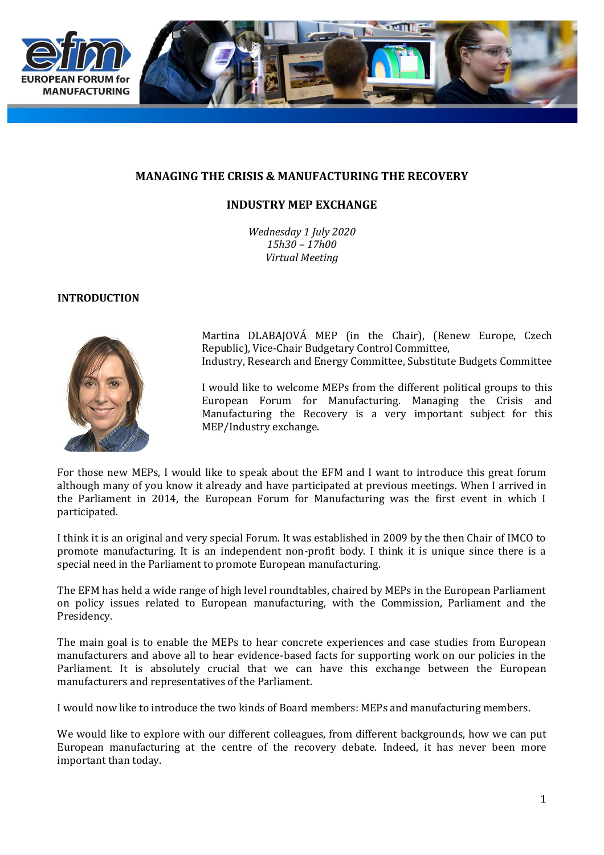

## **MANAGING THE CRISIS & MANUFACTURING THE RECOVERY**

# **INDUSTRY MEP EXCHANGE**

*Wednesday 1 July 2020 15h30 – 17h00 Virtual Meeting*

#### **INTRODUCTION**



Martina DLABAJOVÁ MEP (in the Chair), (Renew Europe, Czech Republic), Vice-Chair Budgetary Control Committee, Industry, Research and Energy Committee, Substitute Budgets Committee

I would like to welcome MEPs from the different political groups to this European Forum for Manufacturing. Managing the Crisis and Manufacturing the Recovery is a very important subject for this MEP/Industry exchange.

For those new MEPs, I would like to speak about the EFM and I want to introduce this great forum although many of you know it already and have participated at previous meetings. When I arrived in the Parliament in 2014, the European Forum for Manufacturing was the first event in which I participated.

I think it is an original and very special Forum. It was established in 2009 by the then Chair of IMCO to promote manufacturing. It is an independent non-profit body. I think it is unique since there is a special need in the Parliament to promote European manufacturing.

The EFM has held a wide range of high level roundtables, chaired by MEPs in the European Parliament on policy issues related to European manufacturing, with the Commission, Parliament and the Presidency.

The main goal is to enable the MEPs to hear concrete experiences and case studies from European manufacturers and above all to hear evidence-based facts for supporting work on our policies in the Parliament. It is absolutely crucial that we can have this exchange between the European manufacturers and representatives of the Parliament.

I would now like to introduce the two kinds of Board members: MEPs and manufacturing members.

We would like to explore with our different colleagues, from different backgrounds, how we can put European manufacturing at the centre of the recovery debate. Indeed, it has never been more important than today.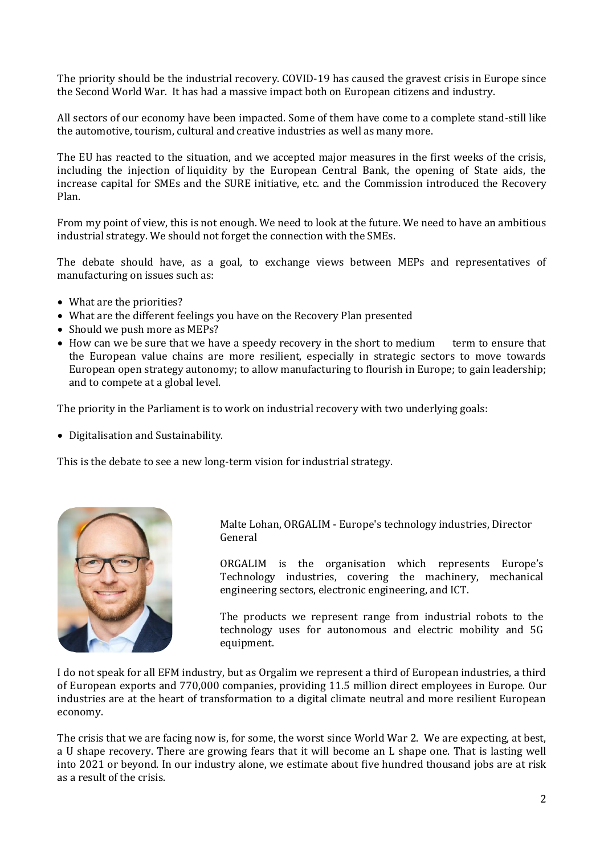The priority should be the industrial recovery. COVID-19 has caused the gravest crisis in Europe since the Second World War. It has had a massive impact both on European citizens and industry.

All sectors of our economy have been impacted. Some of them have come to a complete stand-still like the automotive, tourism, cultural and creative industries as well as many more.

The EU has reacted to the situation, and we accepted major measures in the first weeks of the crisis, including the injection of liquidity by the European Central Bank, the opening of State aids, the increase capital for SMEs and the SURE initiative, etc. and the Commission introduced the Recovery Plan.

From my point of view, this is not enough. We need to look at the future. We need to have an ambitious industrial strategy. We should not forget the connection with the SMEs.

The debate should have, as a goal, to exchange views between MEPs and representatives of manufacturing on issues such as:

- What are the priorities?
- What are the different feelings you have on the Recovery Plan presented
- Should we push more as MEPs?
- How can we be sure that we have a speedy recovery in the short to medium term to ensure that the European value chains are more resilient, especially in strategic sectors to move towards European open strategy autonomy; to allow manufacturing to flourish in Europe; to gain leadership; and to compete at a global level.

The priority in the Parliament is to work on industrial recovery with two underlying goals:

• Digitalisation and Sustainability.

This is the debate to see a new long-term vision for industrial strategy.



Malte Lohan, ORGALIM - Europe's technology industries, Director General

ORGALIM is the organisation which represents Europe's Technology industries, covering the machinery, mechanical engineering sectors, electronic engineering, and ICT.

The products we represent range from industrial robots to the technology uses for autonomous and electric mobility and 5G equipment.

I do not speak for all EFM industry, but as Orgalim we represent a third of European industries, a third of European exports and 770,000 companies, providing 11.5 million direct employees in Europe. Our industries are at the heart of transformation to a digital climate neutral and more resilient European economy.

The crisis that we are facing now is, for some, the worst since World War 2. We are expecting, at best, a U shape recovery. There are growing fears that it will become an L shape one. That is lasting well into 2021 or beyond. In our industry alone, we estimate about five hundred thousand jobs are at risk as a result of the crisis.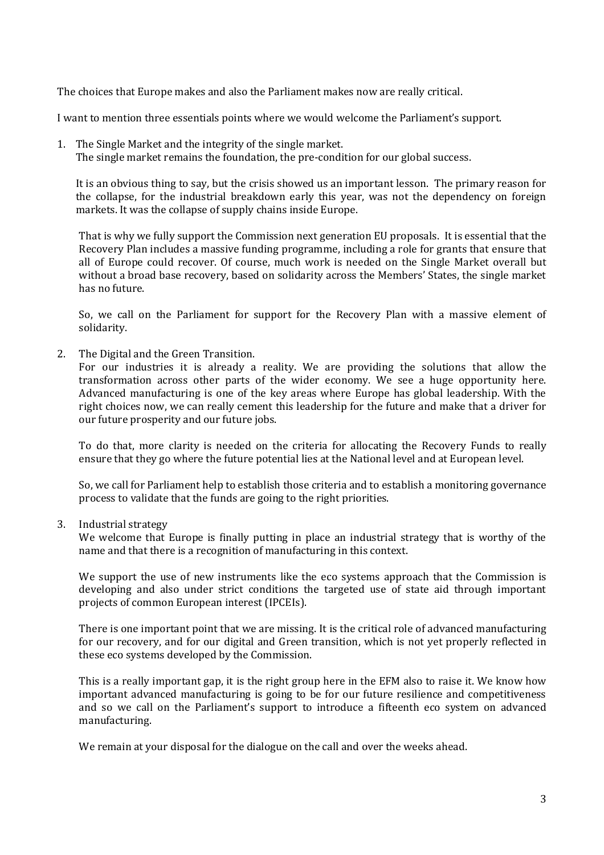The choices that Europe makes and also the Parliament makes now are really critical.

I want to mention three essentials points where we would welcome the Parliament's support.

1. The Single Market and the integrity of the single market. The single market remains the foundation, the pre-condition for our global success.

It is an obvious thing to say, but the crisis showed us an important lesson. The primary reason for the collapse, for the industrial breakdown early this year, was not the dependency on foreign markets. It was the collapse of supply chains inside Europe.

That is why we fully support the Commission next generation EU proposals. It is essential that the Recovery Plan includes a massive funding programme, including a role for grants that ensure that all of Europe could recover. Of course, much work is needed on the Single Market overall but without a broad base recovery, based on solidarity across the Members' States, the single market has no future.

So, we call on the Parliament for support for the Recovery Plan with a massive element of solidarity.

2. The Digital and the Green Transition.

For our industries it is already a reality. We are providing the solutions that allow the transformation across other parts of the wider economy. We see a huge opportunity here. Advanced manufacturing is one of the key areas where Europe has global leadership. With the right choices now, we can really cement this leadership for the future and make that a driver for our future prosperity and our future jobs.

To do that, more clarity is needed on the criteria for allocating the Recovery Funds to really ensure that they go where the future potential lies at the National level and at European level.

So, we call for Parliament help to establish those criteria and to establish a monitoring governance process to validate that the funds are going to the right priorities.

3. Industrial strategy

We welcome that Europe is finally putting in place an industrial strategy that is worthy of the name and that there is a recognition of manufacturing in this context.

We support the use of new instruments like the eco systems approach that the Commission is developing and also under strict conditions the targeted use of state aid through important projects of common European interest (IPCEIs).

There is one important point that we are missing. It is the critical role of advanced manufacturing for our recovery, and for our digital and Green transition, which is not yet properly reflected in these eco systems developed by the Commission.

This is a really important gap, it is the right group here in the EFM also to raise it. We know how important advanced manufacturing is going to be for our future resilience and competitiveness and so we call on the Parliament's support to introduce a fifteenth eco system on advanced manufacturing.

We remain at your disposal for the dialogue on the call and over the weeks ahead.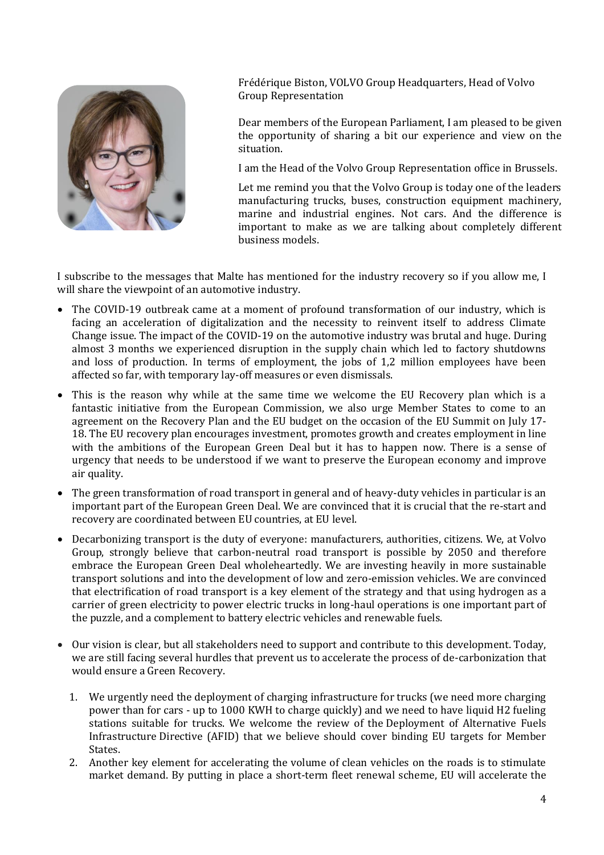

Frédérique Biston, VOLVO Group Headquarters, Head of Volvo Group Representation

Dear members of the European Parliament, I am pleased to be given the opportunity of sharing a bit our experience and view on the situation.

I am the Head of the Volvo Group Representation office in Brussels.

Let me remind you that the Volvo Group is today one of the leaders manufacturing trucks, buses, construction equipment machinery, marine and industrial engines. Not cars. And the difference is important to make as we are talking about completely different business models.

I subscribe to the messages that Malte has mentioned for the industry recovery so if you allow me, I will share the viewpoint of an automotive industry.

- The COVID-19 outbreak came at a moment of profound transformation of our industry, which is facing an acceleration of digitalization and the necessity to reinvent itself to address Climate Change issue. The impact of the COVID-19 on the automotive industry was brutal and huge. During almost 3 months we experienced disruption in the supply chain which led to factory shutdowns and loss of production. In terms of employment, the jobs of 1,2 million employees have been affected so far, with temporary lay-off measures or even dismissals.
- This is the reason why while at the same time we welcome the EU Recovery plan which is a fantastic initiative from the European Commission, we also urge Member States to come to an agreement on the Recovery Plan and the EU budget on the occasion of the EU Summit on July 17- 18. The EU recovery plan encourages investment, promotes growth and creates employment in line with the ambitions of the European Green Deal but it has to happen now. There is a sense of urgency that needs to be understood if we want to preserve the European economy and improve air quality.
- The green transformation of road transport in general and of heavy-duty vehicles in particular is an important part of the European Green Deal. We are convinced that it is crucial that the re-start and recovery are coordinated between EU countries, at EU level.
- Decarbonizing transport is the duty of everyone: manufacturers, authorities, citizens. We, at Volvo Group, strongly believe that carbon-neutral road transport is possible by 2050 and therefore embrace the European Green Deal wholeheartedly. We are investing heavily in more sustainable transport solutions and into the development of low and zero-emission vehicles. We are convinced that electrification of road transport is a key element of the strategy and that using hydrogen as a carrier of green electricity to power electric trucks in long-haul operations is one important part of the puzzle, and a complement to battery electric vehicles and renewable fuels.
- Our vision is clear, but all stakeholders need to support and contribute to this development. Today, we are still facing several hurdles that prevent us to accelerate the process of de-carbonization that would ensure a Green Recovery.
	- 1. We urgently need the deployment of charging infrastructure for trucks (we need more charging power than for cars - up to 1000 KWH to charge quickly) and we need to have liquid H2 fueling stations suitable for trucks. We welcome the review of the Deployment of Alternative Fuels Infrastructure Directive (AFID) that we believe should cover binding EU targets for Member States.
	- 2. Another key element for accelerating the volume of clean vehicles on the roads is to stimulate market demand. By putting in place a short-term fleet renewal scheme, EU will accelerate the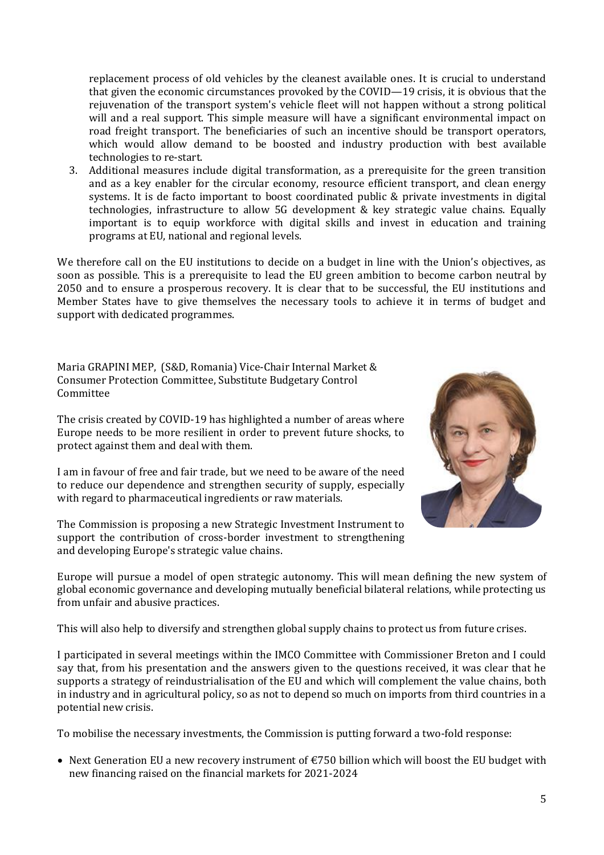replacement process of old vehicles by the cleanest available ones. It is crucial to understand that given the economic circumstances provoked by the COVID—19 crisis, it is obvious that the rejuvenation of the transport system's vehicle fleet will not happen without a strong political will and a real support. This simple measure will have a significant environmental impact on road freight transport. The beneficiaries of such an incentive should be transport operators, which would allow demand to be boosted and industry production with best available technologies to re-start.

3. Additional measures include digital transformation, as a prerequisite for the green transition and as a key enabler for the circular economy, resource efficient transport, and clean energy systems. It is de facto important to boost coordinated public & private investments in digital technologies, infrastructure to allow 5G development & key strategic value chains. Equally important is to equip workforce with digital skills and invest in education and training programs at EU, national and regional levels.

We therefore call on the EU institutions to decide on a budget in line with the Union's objectives, as soon as possible. This is a prerequisite to lead the EU green ambition to become carbon neutral by 2050 and to ensure a prosperous recovery. It is clear that to be successful, the EU institutions and Member States have to give themselves the necessary tools to achieve it in terms of budget and support with dedicated programmes.

Maria GRAPINI MEP, (S&D, Romania) Vice-Chair Internal Market & Consumer Protection Committee, Substitute Budgetary Control Committee

The crisis created by COVID-19 has highlighted a number of areas where Europe needs to be more resilient in order to prevent future shocks, to protect against them and deal with them.

I am in favour of free and fair trade, but we need to be aware of the need to reduce our dependence and strengthen security of supply, especially with regard to pharmaceutical ingredients or raw materials.

The Commission is proposing a new Strategic Investment Instrument to support the contribution of cross-border investment to strengthening and developing Europe's strategic value chains.



Europe will pursue a model of open strategic autonomy. This will mean defining the new system of global economic governance and developing mutually beneficial bilateral relations, while protecting us from unfair and abusive practices.

This will also help to diversify and strengthen global supply chains to protect us from future crises.

I participated in several meetings within the IMCO Committee with Commissioner Breton and I could say that, from his presentation and the answers given to the questions received, it was clear that he supports a strategy of reindustrialisation of the EU and which will complement the value chains, both in industry and in agricultural policy, so as not to depend so much on imports from third countries in a potential new crisis.

To mobilise the necessary investments, the Commission is putting forward a two-fold response:

• Next Generation EU a new recovery instrument of €750 billion which will boost the EU budget with new financing raised on the financial markets for 2021-2024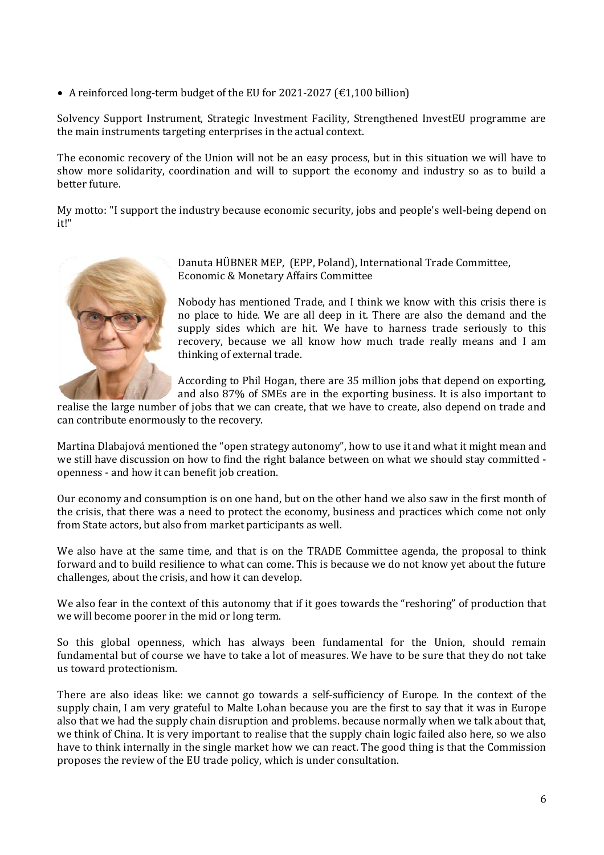• A reinforced long-term budget of the EU for 2021-2027 (€1,100 billion)

Solvency Support Instrument, Strategic Investment Facility, Strengthened InvestEU programme are the main instruments targeting enterprises in the actual context.

The economic recovery of the Union will not be an easy process, but in this situation we will have to show more solidarity, coordination and will to support the economy and industry so as to build a better future.

My motto: "I support the industry because economic security, jobs and people's well-being depend on it!"



Danuta HÜBNER MEP, (EPP, Poland), International Trade Committee, Economic & Monetary Affairs Committee

Nobody has mentioned Trade, and I think we know with this crisis there is no place to hide. We are all deep in it. There are also the demand and the supply sides which are hit. We have to harness trade seriously to this recovery, because we all know how much trade really means and I am thinking of external trade.

According to Phil Hogan, there are 35 million jobs that depend on exporting, and also 87% of SMEs are in the exporting business. It is also important to

realise the large number of jobs that we can create, that we have to create, also depend on trade and can contribute enormously to the recovery.

Martina Dlabajová mentioned the "open strategy autonomy", how to use it and what it might mean and we still have discussion on how to find the right balance between on what we should stay committed openness - and how it can benefit job creation.

Our economy and consumption is on one hand, but on the other hand we also saw in the first month of the crisis, that there was a need to protect the economy, business and practices which come not only from State actors, but also from market participants as well.

We also have at the same time, and that is on the TRADE Committee agenda, the proposal to think forward and to build resilience to what can come. This is because we do not know yet about the future challenges, about the crisis, and how it can develop.

We also fear in the context of this autonomy that if it goes towards the "reshoring" of production that we will become poorer in the mid or long term.

So this global openness, which has always been fundamental for the Union, should remain fundamental but of course we have to take a lot of measures. We have to be sure that they do not take us toward protectionism.

There are also ideas like: we cannot go towards a self-sufficiency of Europe. In the context of the supply chain, I am very grateful to Malte Lohan because you are the first to say that it was in Europe also that we had the supply chain disruption and problems. because normally when we talk about that, we think of China. It is very important to realise that the supply chain logic failed also here, so we also have to think internally in the single market how we can react. The good thing is that the Commission proposes the review of the EU trade policy, which is under consultation.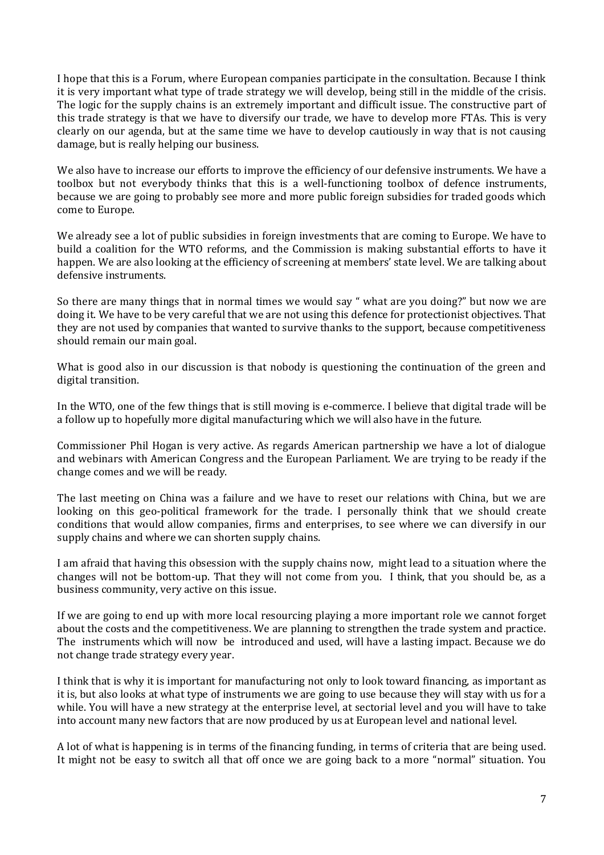I hope that this is a Forum, where European companies participate in the consultation. Because I think it is very important what type of trade strategy we will develop, being still in the middle of the crisis. The logic for the supply chains is an extremely important and difficult issue. The constructive part of this trade strategy is that we have to diversify our trade, we have to develop more FTAs. This is very clearly on our agenda, but at the same time we have to develop cautiously in way that is not causing damage, but is really helping our business.

We also have to increase our efforts to improve the efficiency of our defensive instruments. We have a toolbox but not everybody thinks that this is a well-functioning toolbox of defence instruments, because we are going to probably see more and more public foreign subsidies for traded goods which come to Europe.

We already see a lot of public subsidies in foreign investments that are coming to Europe. We have to build a coalition for the WTO reforms, and the Commission is making substantial efforts to have it happen. We are also looking at the efficiency of screening at members' state level. We are talking about defensive instruments.

So there are many things that in normal times we would say " what are you doing?" but now we are doing it. We have to be very careful that we are not using this defence for protectionist objectives. That they are not used by companies that wanted to survive thanks to the support, because competitiveness should remain our main goal.

What is good also in our discussion is that nobody is questioning the continuation of the green and digital transition.

In the WTO, one of the few things that is still moving is e-commerce. I believe that digital trade will be a follow up to hopefully more digital manufacturing which we will also have in the future.

Commissioner Phil Hogan is very active. As regards American partnership we have a lot of dialogue and webinars with American Congress and the European Parliament. We are trying to be ready if the change comes and we will be ready.

The last meeting on China was a failure and we have to reset our relations with China, but we are looking on this geo-political framework for the trade. I personally think that we should create conditions that would allow companies, firms and enterprises, to see where we can diversify in our supply chains and where we can shorten supply chains.

I am afraid that having this obsession with the supply chains now, might lead to a situation where the changes will not be bottom-up. That they will not come from you. I think, that you should be, as a business community, very active on this issue.

If we are going to end up with more local resourcing playing a more important role we cannot forget about the costs and the competitiveness. We are planning to strengthen the trade system and practice. The instruments which will now be introduced and used, will have a lasting impact. Because we do not change trade strategy every year.

I think that is why it is important for manufacturing not only to look toward financing, as important as it is, but also looks at what type of instruments we are going to use because they will stay with us for a while. You will have a new strategy at the enterprise level, at sectorial level and you will have to take into account many new factors that are now produced by us at European level and national level.

A lot of what is happening is in terms of the financing funding, in terms of criteria that are being used. It might not be easy to switch all that off once we are going back to a more "normal" situation. You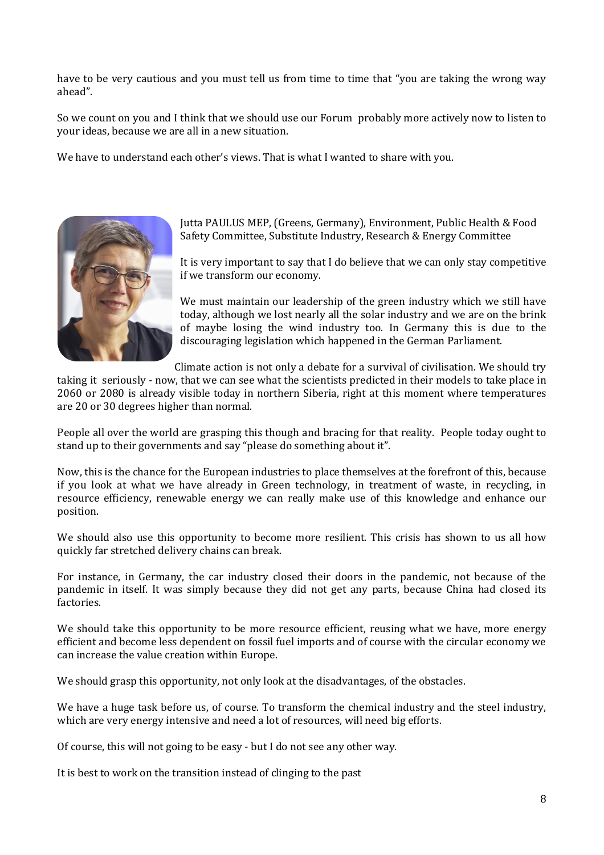have to be very cautious and you must tell us from time to time that "you are taking the wrong way ahead".

So we count on you and I think that we should use our Forum probably more actively now to listen to your ideas, because we are all in a new situation.

We have to understand each other's views. That is what I wanted to share with you.



Jutta PAULUS MEP, (Greens, Germany), Environment, Public Health & Food Safety Committee, Substitute Industry, Research & Energy Committee

It is very important to say that I do believe that we can only stay competitive if we transform our economy.

We must maintain our leadership of the green industry which we still have today, although we lost nearly all the solar industry and we are on the brink of maybe losing the wind industry too. In Germany this is due to the discouraging legislation which happened in the German Parliament.

Climate action is not only a debate for a survival of civilisation. We should try

taking it seriously - now, that we can see what the scientists predicted in their models to take place in 2060 or 2080 is already visible today in northern Siberia, right at this moment where temperatures are 20 or 30 degrees higher than normal.

People all over the world are grasping this though and bracing for that reality. People today ought to stand up to their governments and say "please do something about it".

Now, this is the chance for the European industries to place themselves at the forefront of this, because if you look at what we have already in Green technology, in treatment of waste, in recycling, in resource efficiency, renewable energy we can really make use of this knowledge and enhance our position.

We should also use this opportunity to become more resilient. This crisis has shown to us all how quickly far stretched delivery chains can break.

For instance, in Germany, the car industry closed their doors in the pandemic, not because of the pandemic in itself. It was simply because they did not get any parts, because China had closed its factories.

We should take this opportunity to be more resource efficient, reusing what we have, more energy efficient and become less dependent on fossil fuel imports and of course with the circular economy we can increase the value creation within Europe.

We should grasp this opportunity, not only look at the disadvantages, of the obstacles.

We have a huge task before us, of course. To transform the chemical industry and the steel industry, which are very energy intensive and need a lot of resources, will need big efforts.

Of course, this will not going to be easy - but I do not see any other way.

It is best to work on the transition instead of clinging to the past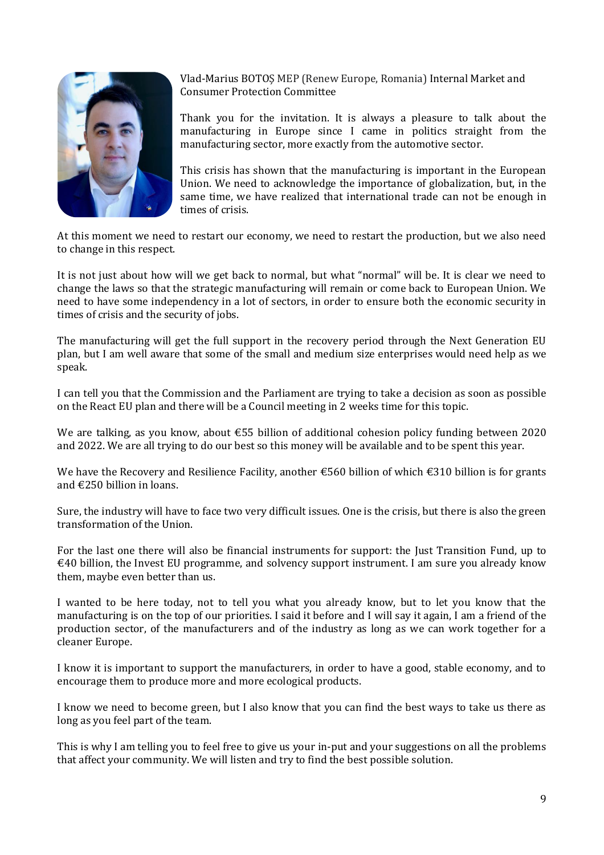

Vlad-Marius BOTOŞ MEP (Renew Europe, Romania) Internal Market and Consumer Protection Committee

Thank you for the invitation. It is always a pleasure to talk about the manufacturing in Europe since I came in politics straight from the manufacturing sector, more exactly from the automotive sector.

This crisis has shown that the manufacturing is important in the European Union. We need to acknowledge the importance of globalization, but, in the same time, we have realized that international trade can not be enough in times of crisis.

At this moment we need to restart our economy, we need to restart the production, but we also need to change in this respect.

It is not just about how will we get back to normal, but what "normal" will be. It is clear we need to change the laws so that the strategic manufacturing will remain or come back to European Union. We need to have some independency in a lot of sectors, in order to ensure both the economic security in times of crisis and the security of jobs.

The manufacturing will get the full support in the recovery period through the Next Generation EU plan, but I am well aware that some of the small and medium size enterprises would need help as we speak.

I can tell you that the Commission and the Parliament are trying to take a decision as soon as possible on the React EU plan and there will be a Council meeting in 2 weeks time for this topic.

We are talking, as you know, about €55 billion of additional cohesion policy funding between 2020 and 2022. We are all trying to do our best so this money will be available and to be spent this year.

We have the Recovery and Resilience Facility, another €560 billion of which €310 billion is for grants and €250 billion in loans.

Sure, the industry will have to face two very difficult issues. One is the crisis, but there is also the green transformation of the Union.

For the last one there will also be financial instruments for support: the Just Transition Fund, up to  $\epsilon$ 40 billion, the Invest EU programme, and solvency support instrument. I am sure you already know them, maybe even better than us.

I wanted to be here today, not to tell you what you already know, but to let you know that the manufacturing is on the top of our priorities. I said it before and I will say it again, I am a friend of the production sector, of the manufacturers and of the industry as long as we can work together for a cleaner Europe.

I know it is important to support the manufacturers, in order to have a good, stable economy, and to encourage them to produce more and more ecological products.

I know we need to become green, but I also know that you can find the best ways to take us there as long as you feel part of the team.

This is why I am telling you to feel free to give us your in-put and your suggestions on all the problems that affect your community. We will listen and try to find the best possible solution.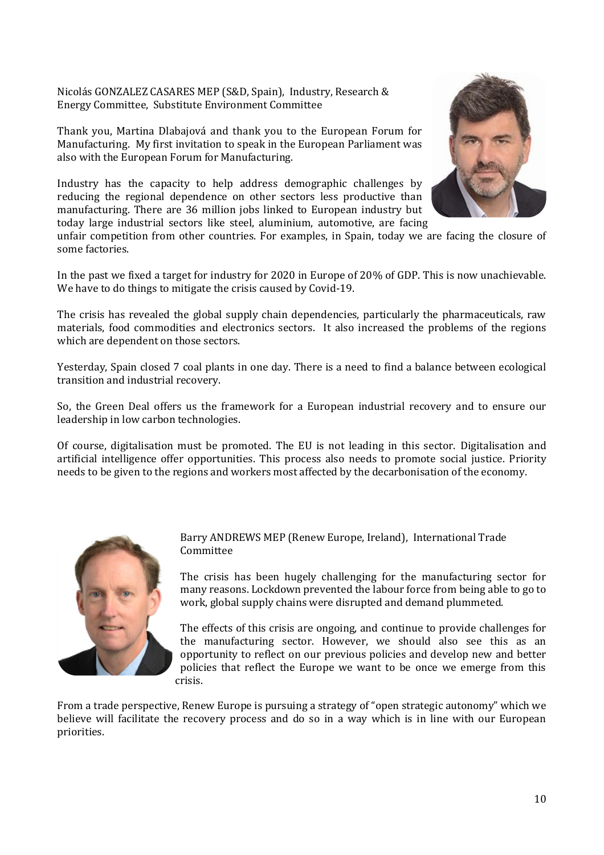Nicolás GONZALEZ CASARES MEP (S&D, Spain), Industry, Research & Energy Committee, Substitute Environment Committee

Thank you, Martina Dlabajová and thank you to the European Forum for Manufacturing. My first invitation to speak in the European Parliament was also with the European Forum for Manufacturing.

Industry has the capacity to help address demographic challenges by reducing the regional dependence on other sectors less productive than manufacturing. There are 36 million jobs linked to European industry but today large industrial sectors like steel, aluminium, automotive, are facing



unfair competition from other countries. For examples, in Spain, today we are facing the closure of some factories.

In the past we fixed a target for industry for 2020 in Europe of 20% of GDP. This is now unachievable. We have to do things to mitigate the crisis caused by Covid-19.

The crisis has revealed the global supply chain dependencies, particularly the pharmaceuticals, raw materials, food commodities and electronics sectors. It also increased the problems of the regions which are dependent on those sectors.

Yesterday, Spain closed 7 coal plants in one day. There is a need to find a balance between ecological transition and industrial recovery.

So, the Green Deal offers us the framework for a European industrial recovery and to ensure our leadership in low carbon technologies.

Of course, digitalisation must be promoted. The EU is not leading in this sector. Digitalisation and artificial intelligence offer opportunities. This process also needs to promote social justice. Priority needs to be given to the regions and workers most affected by the decarbonisation of the economy.



Barry ANDREWS MEP (Renew Europe, Ireland), International Trade Committee

The crisis has been hugely challenging for the manufacturing sector for many reasons. Lockdown prevented the labour force from being able to go to work, global supply chains were disrupted and demand plummeted.

The effects of this crisis are ongoing, and continue to provide challenges for the manufacturing sector. However, we should also see this as an opportunity to reflect on our previous policies and develop new and better policies that reflect the Europe we want to be once we emerge from this crisis.

From a trade perspective, Renew Europe is pursuing a strategy of "open strategic autonomy" which we believe will facilitate the recovery process and do so in a way which is in line with our European priorities.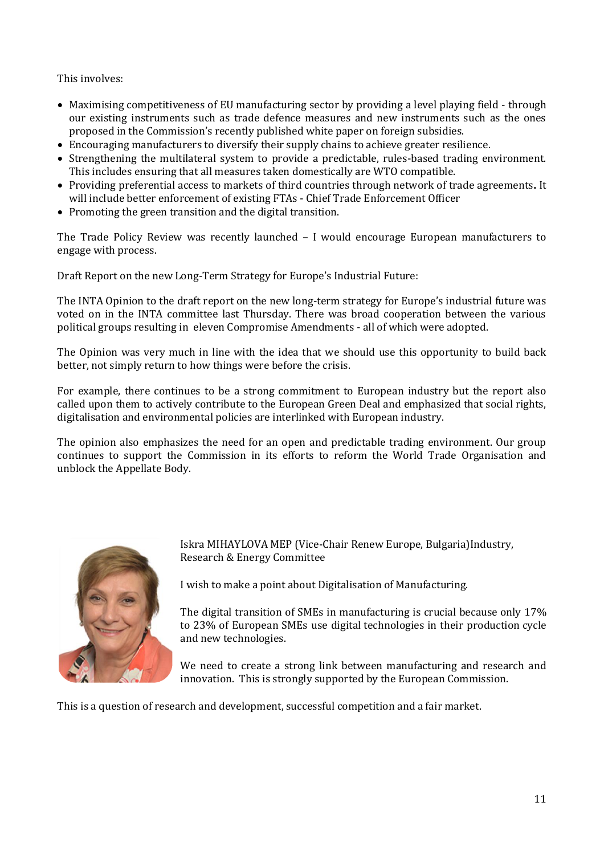This involves:

- Maximising competitiveness of EU manufacturing sector by providing a level playing field through our existing instruments such as trade defence measures and new instruments such as the ones proposed in the Commission's recently published white paper on foreign subsidies.
- Encouraging manufacturers to diversify their supply chains to achieve greater resilience.
- Strengthening the multilateral system to provide a predictable, rules-based trading environment. This includes ensuring that all measures taken domestically are WTO compatible.
- Providing preferential access to markets of third countries through network of trade agreements**.** It will include better enforcement of existing FTAs - Chief Trade Enforcement Officer
- Promoting the green transition and the digital transition.

The Trade Policy Review was recently launched – I would encourage European manufacturers to engage with process.

Draft Report on the new Long-Term Strategy for Europe's Industrial Future:

The INTA Opinion to the draft report on the new long-term strategy for Europe's industrial future was voted on in the INTA committee last Thursday. There was broad cooperation between the various political groups resulting in eleven Compromise Amendments - all of which were adopted.

The Opinion was very much in line with the idea that we should use this opportunity to build back better, not simply return to how things were before the crisis.

For example, there continues to be a strong commitment to European industry but the report also called upon them to actively contribute to the European Green Deal and emphasized that social rights, digitalisation and environmental policies are interlinked with European industry.

The opinion also emphasizes the need for an open and predictable trading environment. Our group continues to support the Commission in its efforts to reform the World Trade Organisation and unblock the Appellate Body.



Iskra MIHAYLOVA MEP (Vice-Chair Renew Europe, Bulgaria)Industry, Research & Energy Committee

I wish to make a point about Digitalisation of Manufacturing.

The digital transition of SMEs in manufacturing is crucial because only 17% to 23% of European SMEs use digital technologies in their production cycle and new technologies.

We need to create a strong link between manufacturing and research and innovation. This is strongly supported by the European Commission.

This is a question of research and development, successful competition and a fair market.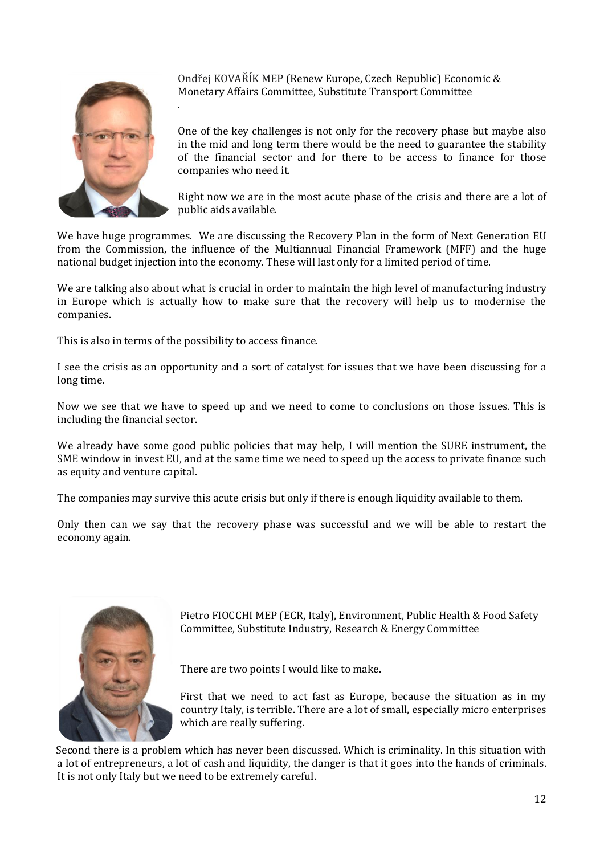

Ondřej KOVAŘÍK MEP (Renew Europe, Czech Republic) Economic & Monetary Affairs Committee, Substitute Transport Committee

One of the key challenges is not only for the recovery phase but maybe also in the mid and long term there would be the need to guarantee the stability of the financial sector and for there to be access to finance for those companies who need it.

Right now we are in the most acute phase of the crisis and there are a lot of public aids available.

We have huge programmes. We are discussing the Recovery Plan in the form of Next Generation EU from the Commission, the influence of the Multiannual Financial Framework (MFF) and the huge national budget injection into the economy. These will last only for a limited period of time.

We are talking also about what is crucial in order to maintain the high level of manufacturing industry in Europe which is actually how to make sure that the recovery will help us to modernise the companies.

This is also in terms of the possibility to access finance.

.

I see the crisis as an opportunity and a sort of catalyst for issues that we have been discussing for a long time.

Now we see that we have to speed up and we need to come to conclusions on those issues. This is including the financial sector.

We already have some good public policies that may help, I will mention the SURE instrument, the SME window in invest EU, and at the same time we need to speed up the access to private finance such as equity and venture capital.

The companies may survive this acute crisis but only if there is enough liquidity available to them.

Only then can we say that the recovery phase was successful and we will be able to restart the economy again.



Pietro FIOCCHI MEP (ECR, Italy), Environment, Public Health & Food Safety Committee, Substitute Industry, Research & Energy Committee

There are two points I would like to make.

First that we need to act fast as Europe, because the situation as in my country Italy, is terrible. There are a lot of small, especially micro enterprises which are really suffering.

 Second there is a problem which has never been discussed. Which is criminality. In this situation with a lot of entrepreneurs, a lot of cash and liquidity, the danger is that it goes into the hands of criminals. It is not only Italy but we need to be extremely careful.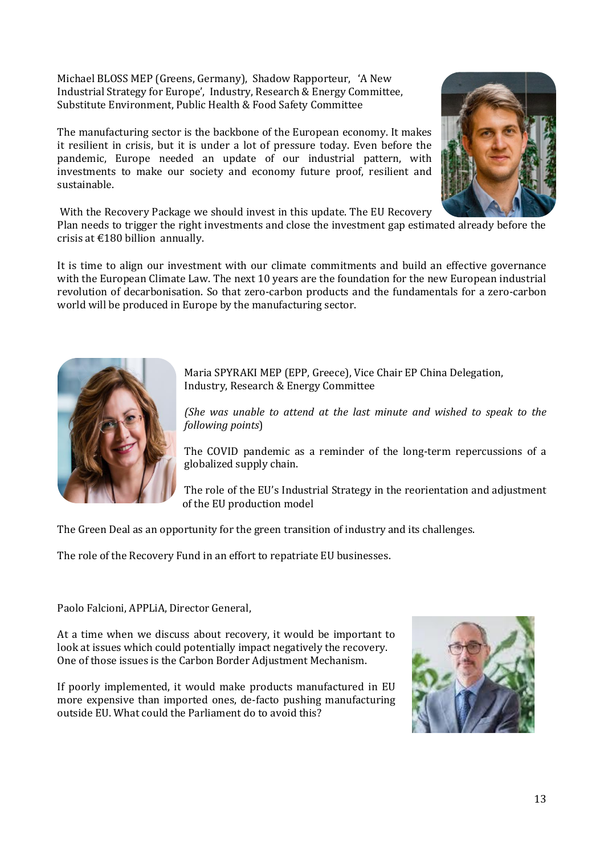Michael BLOSS MEP (Greens, Germany), Shadow Rapporteur, 'A New Industrial Strategy for Europe', Industry, Research & Energy Committee, Substitute Environment, Public Health & Food Safety Committee

The manufacturing sector is the backbone of the European economy. It makes it resilient in crisis, but it is under a lot of pressure today. Even before the pandemic, Europe needed an update of our industrial pattern, with investments to make our society and economy future proof, resilient and sustainable.



With the Recovery Package we should invest in this update. The EU Recovery

Plan needs to trigger the right investments and close the investment gap estimated already before the crisis at €180 billion annually.

It is time to align our investment with our climate commitments and build an effective governance with the European Climate Law. The next 10 years are the foundation for the new European industrial revolution of decarbonisation. So that zero-carbon products and the fundamentals for a zero-carbon world will be produced in Europe by the manufacturing sector.



Maria SPYRAKI MEP (EPP, Greece), Vice Chair EP China Delegation, Industry, Research & Energy Committee

*(She was unable to attend at the last minute and wished to speak to the following points*)

The COVID pandemic as a reminder of the long-term repercussions of a globalized supply chain.

The role of the EU's Industrial Strategy in the reorientation and adjustment of the EU production model

The Green Deal as an opportunity for the green transition of industry and its challenges.

The role of the Recovery Fund in an effort to repatriate EU businesses.

Paolo Falcioni, APPLiA, Director General,

At a time when we discuss about recovery, it would be important to look at issues which could potentially impact negatively the recovery. One of those issues is the Carbon Border Adjustment Mechanism.

If poorly implemented, it would make products manufactured in EU more expensive than imported ones, de-facto pushing manufacturing outside EU. What could the Parliament do to avoid this?

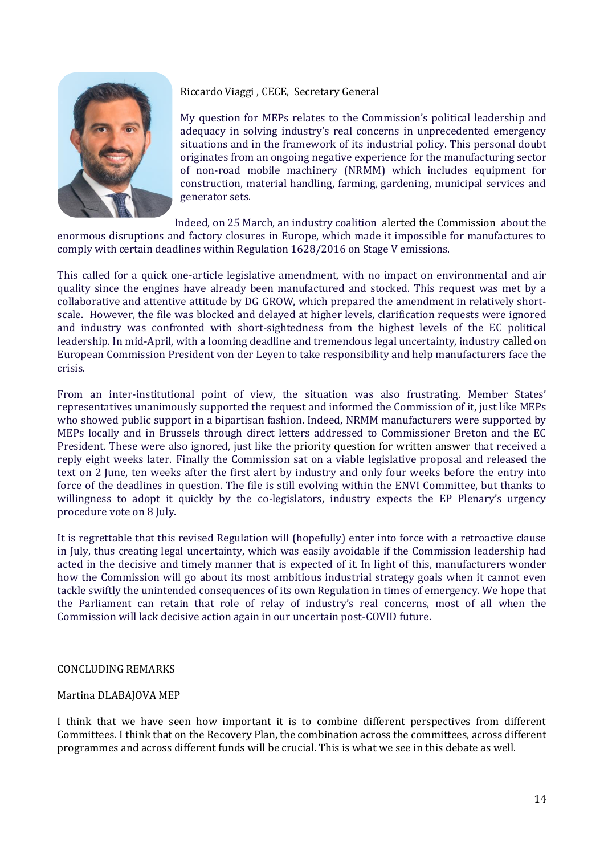

## Riccardo Viaggi , CECE, Secretary General

My question for MEPs relates to the Commission's political leadership and adequacy in solving industry's real concerns in unprecedented emergency situations and in the framework of its industrial policy. This personal doubt originates from an ongoing negative experience for the manufacturing sector of non-road mobile machinery (NRMM) which includes equipment for construction, material handling, farming, gardening, municipal services and generator sets.

Indeed, on 25 March, an industry coalition alerted the Commission about the enormous disruptions and factory closures in Europe, which made it impossible for manufactures to comply with certain deadlines within Regulation 1628/2016 on Stage V emissions.

This called for a quick one-article legislative amendment, with no impact on environmental and air quality since the engines have already been manufactured and stocked. This request was met by a collaborative and attentive attitude by DG GROW, which prepared the amendment in relatively shortscale. However, the file was blocked and delayed at higher levels, clarification requests were ignored and industry was confronted with short-sightedness from the highest levels of the EC political leadership. In mid-April, with a looming deadline and tremendous legal uncertainty, industry called on European Commission President von der Leyen to take responsibility and help manufacturers face the crisis.

From an inter-institutional point of view, the situation was also frustrating. Member States' representatives unanimously supported the request and informed the Commission of it, just like MEPs who showed public support in a bipartisan fashion. Indeed, NRMM manufacturers were supported by MEPs locally and in Brussels through direct letters addressed to Commissioner Breton and the EC President. These were also ignored, just like the priority question for written answer that received a reply eight weeks later. Finally the Commission sat on a viable legislative proposal and released the text on 2 June, ten weeks after the first alert by industry and only four weeks before the entry into force of the deadlines in question. The file is still evolving within the ENVI Committee, but thanks to willingness to adopt it quickly by the co-legislators, industry expects the EP Plenary's urgency procedure vote on 8 July.

It is regrettable that this revised Regulation will (hopefully) enter into force with a retroactive clause in July, thus creating legal uncertainty, which was easily avoidable if the Commission leadership had acted in the decisive and timely manner that is expected of it. In light of this, manufacturers wonder how the Commission will go about its most ambitious industrial strategy goals when it cannot even tackle swiftly the unintended consequences of its own Regulation in times of emergency. We hope that the Parliament can retain that role of relay of industry's real concerns, most of all when the Commission will lack decisive action again in our uncertain post-COVID future.

## CONCLUDING REMARKS

## Martina DLABAJOVA MEP

I think that we have seen how important it is to combine different perspectives from different Committees. I think that on the Recovery Plan, the combination across the committees, across different programmes and across different funds will be crucial. This is what we see in this debate as well.